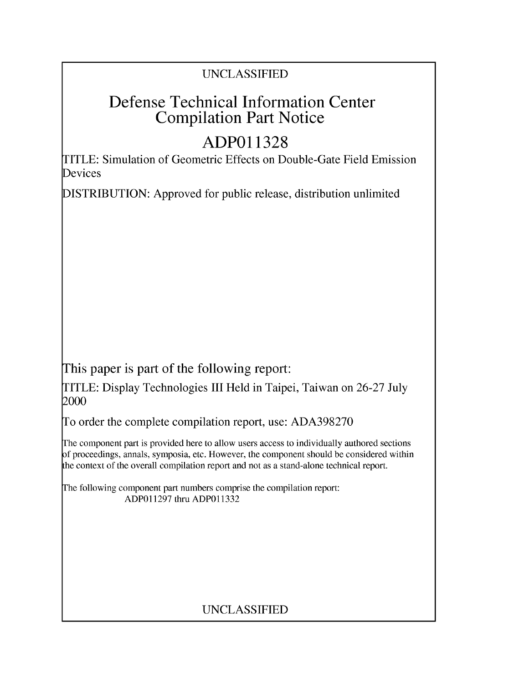### UNCLASSIFIED

## Defense Technical Information Center Compilation Part Notice

# **ADPO1 1328**

TITLE: Simulation of Geometric Effects on Double-Gate Field Emission **Devices** 

DISTRIBUTION: Approved for public release, distribution unlimited

This paper is part of the following report:

TITLE: Display Technologies III Held in Taipei, Taiwan on 26-27 July 2000

To order the complete compilation report, use: ADA398270

The component part is provided here to allow users access to individually authored sections f proceedings, annals, symposia, etc. However, the component should be considered within [he context of the overall compilation report and not as a stand-alone technical report.

The following component part numbers comprise the compilation report: ADP011297 thru ADP011332

## UNCLASSIFIED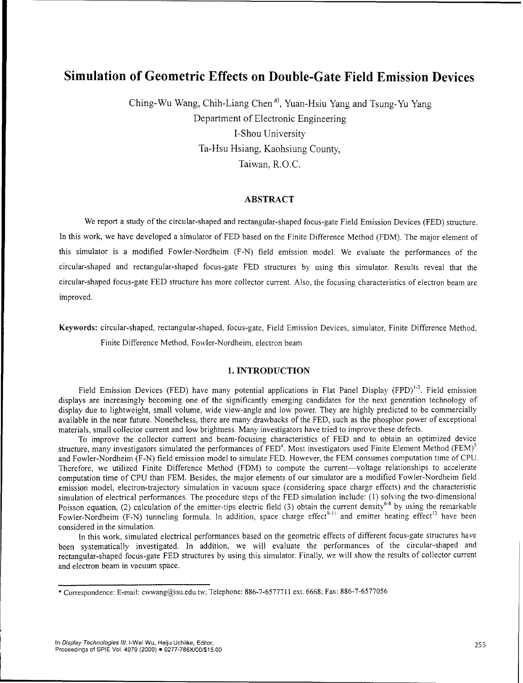### Simulation of Geometric Effects on Double-Gate Field Emission Devices

Ching-Wu Wang, Chih-Liang Chen **a)** Yuan-Hsiu Yang and Tsung-Yu Yang Department of Electronic Engineering I-Shou University Ta-Hsu Hsiang, Kaohsiung County, Taiwan, R.O.C.

#### ABSTRACT

We report a study of the circular-shaped and rectangular-shaped focus-gate Field Emission Devices (FED) structure. In this work, we have developed a simulator of FED based on the Finite Difference Method (FDM). The major element of this simulator is a modified Fowler-Nordheim (F-N) field emission model. We evaluate the performances of the circular-shaped and rectangular-shaped focus-gate FED structures by using this simulator. Results reveal that the circular-shaped focus-gate FED structure has more collector current. Also, the focusing characteristics of electron beam are improved.

Keywords: circular-shaped, rectangular-shaped, focus-gate, Field Emission Devices, simulator, Finite Difference Method, Finite Difference Method, Fowler-Nordheim, electron beam

#### 1. **INTRODUCTION**

Field Emission Devices (FED) have many potential applications in Flat Panel Display (FPD)<sup>1-3</sup>. Field emission displays are increasingly becoming one of the significantly emerging candidates for the next generation technology of display due to lightweight, small volume, wide view-angle and low power. They are highly predicted to be commercially available in the near future. Nonetheless, there are many drawbacks of the FED, such as the phosphor power of exceptional materials, small collector current and low brightness. Many investigators have tried to improve these defects.

To improve the collector current and beam-focusing characteristics of FED and to obtain an optimized device io improve the collector current and beam-locusing characteristics of FED and to obtain an optimized device<br>structure, many investigators simulated the performances of FED<sup>4</sup>. Most investigators used Finite Element Method and Fowler-Nordheim (F-N) field emission model to simulate FED. However, the FEM consumes computation time of CPU. Therefore, we utilized Finite Difference Method (FDM) to compute the current-voltage relationships to accelerate computation time of CPU than FEM. Besides, the major elements of our simulator are a modified Fowler-Nordheim field emission model, electron-trajectory simulation in vacuum space (considering space charge effects) and the characteristic simulation of electrical performances. The procedure steps of the FED simulation include: (1) solving the two-dimensional Poisson equation, (2) calculation of the emitter-tips electric field (3) obtain the current density<sup>68</sup> by using the remarkable Fowler-Nordheim (F-N) tunneling formula. In addition, space charge effect<sup>9-11</sup> and emitter heating effect<sup>12</sup> have been considered in the simulation.

In this work, simulated electrical performances based on the geometric effects of different focus-gate structures have been systematically investigated. In addition, we will evaluate the performances of the circular-shaped and rectangular-shaped focus-gate FED structures by using this simulator. Finally, we will show the results of collector current and electron beam in vacuum space.

<sup>\*</sup> Correspondence: E-mail: cwwangaisu.edu.tw; Telephone: 886-7-6577711 ext. 6668; Fax: 886-7-6577056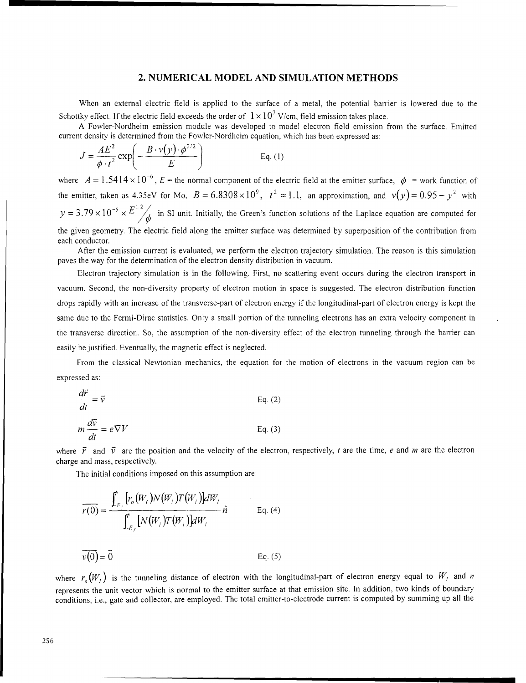#### 2. **NUMERICAL** MODEL **AND** SIMULATION **METHODS**

When an external electric field is applied to the surface of a metal, the potential barrier is lowered due to the Schottky effect. If the electric field exceeds the order of  $1 \times 10^7$  V/cm, field emission takes place.

A Fowler-Nordheim emission module was developed to model electron field emission from the surface. Emitted current density is determined from the Fowler-Nordheim equation, which has been expressed as:

$$
J = \frac{AE^2}{\phi \cdot t^2} \exp\left(-\frac{B \cdot v(y) \cdot \phi^{3/2}}{E}\right)
$$
 Eq. (1)

where  $A = 1.5414 \times 10^{-6}$ ,  $E =$  the normal component of the electric field at the emitter surface,  $\phi =$  work function of the emitter, taken as 4.35eV for Mo,  $B = 6.8308 \times 10^9$ ,  $t^2 \approx 1.1$ , an approximation, and  $v(y) = 0.95 - y^2$  with  $y = 3.79 \times 10^{-5} \times E^{12}$  in SI unit. Initially, the Green's function solutions of the Laplace equation are computed for the given geometry. The electric field along the emitter surface was determined by superposition of the contribution from each conductor.

After the emission current is evaluated, we perform the electron trajectory simulation. The reason is this simulation paves the way for the determination of the electron density distribution in vacuum.

Electron trajectory simulation is in the following. First, no scattering event occurs during the electron transport in vacuum. Second, the non-diversity property of electron motion in space is suggested. The electron distribution function drops rapidly with an increase of the transverse-part of electron energy if the longitudinal-part of electron energy is kept the same due to the Fermi-Dirac statistics. Only a small portion of the tunneling electrons has an extra velocity component in the transverse direction. So, the assumption of the non-diversity effect of the electron tunneling through the barrier can easily be justified. Eventually, the magnetic effect is neglected.

From the classical Newtonian mechanics, the equation for the motion of electrons in the vacuum region can be expressed as:

$$
\frac{d\vec{r}}{dt} = \vec{v}
$$
 Eq. (2)  

$$
m\frac{d\vec{v}}{dt} = e\nabla V
$$
 Eq. (3)

where  $\vec{r}$  and  $\vec{v}$  are the position and the velocity of the electron, respectively, t are the time, e and m are the electron charge and mass, respectively.

The initial conditions imposed on this assumption are:

$$
\overline{r(0)} = \frac{\int_{E_f}^{b} [r_o(W_i) N(W_i) T(W_i)] dW_i}{\int_{E_f}^{b} [N(W_i) T(W_i)] dW_i} \hat{n}
$$
 Eq. (4)  

$$
\overline{v(0)} = \overline{0}
$$
 Eq. (5)

where  $r_a(W_i)$  is the tunneling distance of electron with the longitudinal-part of electron energy equal to  $W_i$  and *n* represents the unit vector which is normal to the emitter surface at that emission site. In addition, two kinds of boundary conditions, i.e., gate and collector, are employed. The total emitter-to-electrode current is computed by summing up all the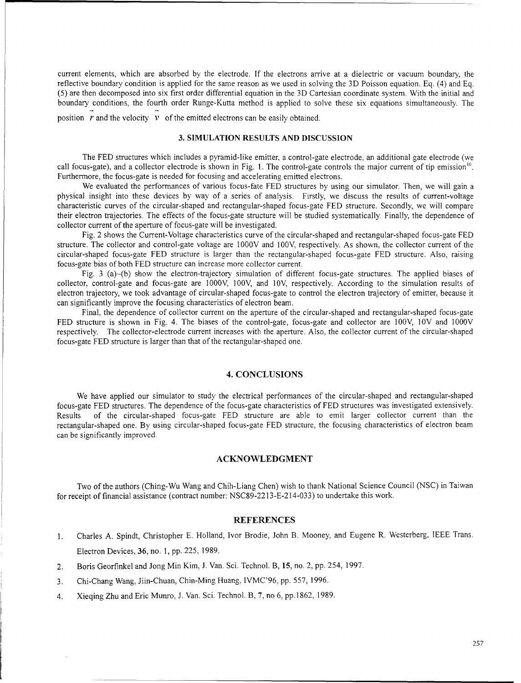current elements, which are absorbed by the electrode. If the electrons arrive at a dielectric or vacuum boundary, the reflective boundary condition is applied for the same reason as we used in solving the 3D Poisson equation. Eq. (4) and Eq. (5) are then decomposed into six first order differential equation in the 3D Cartesian coordinate system. With the initial and boundary conditions, the fourth order Runge-Kutta method is applied to solve these six equations simultaneously. The position  $\overrightarrow{r}$  and the velocity  $\overrightarrow{v}$  of the emitted electrons can be easily obtained.

#### **3. SIMULATION RESULTS AND DISCUSSION**

The FED structures which includes a pyramid-like emitter, a control-gate electrode, an additional gate electrode (we call focus-gate), and a collector electrode is shown in Fig. 1. The control-gate controls the major current of tip emission<sup>16</sup>. Furthermore, the focus-gate is needed for focusing and accelerating emitted electrons.

We evaluated the performances of various focus-fate FED structures by using our simulator. Then, we will gain a physical insight into these devices by way of a series of analysis. Firstly, we discuss the results of current-voltage characteristic curves of the circular-shaped and rectangular-shaped focus-gate FED structure. Secondly, we will compare their electron trajectories. The effects of the focus-gate structure will be studied systematically. Finally, the dependence of collector current of the aperture of focus-gate will be investigated.

Fig. 2 shows the Current-Voltage characteristics curve of the circular-shaped and rectangular-shaped focus-gate FED structure. The collector and control-gate voltage are 1000V and 100V, respectively. As shown, the collector current of the circular-shaped focus-gate FED structure is larger than the rectangular-shaped focus-gate FED structure. Also, raising focus-gate bias of both FED structure can increase more collector current.

Fig. 3 (a)-(b) show the electron-trajectory simulation of different focus-gate structures. The applied biases of collector, control-gate and focus-gate are 1000V, 100V, and 1OV, respectively. According to the simulation results of electron trajectory, we took advantage of circular-shaped focus-gate to control the electron trajectory of emitter, because it can significantly improve the focusing characteristics of electron beam.

Final, the dependence of collector current on the aperture of the circular-shaped and rectangular-shaped focus-gate FED structure is shown in Fig. 4. The biases of the control-gate, focus-gate and collector are 100V, 1OV and 1000V respectively. The collector-electrode current increases with the aperture. Also, the collector current of the circular-shaped focus-gate FED structure is larger than that of the rectangular-shaped one,

#### 4. **CONCLUSIONS**

We have applied our simulator to study the electrical performances of the circular-shaped and rectangular-shaped focus-gate FED structures. The dependence of the focus-gate characteristics of FED structures was investigated extensively. Results of the circular-shaped focus-gate FED structure are able to emit larger collector current than the rectangular-shaped one. By using circular-shaped focus-gate FED structure, the focusing characteristics of electron beam can be significantly improved.

#### **ACKNOWLEDGMENT**

Two of the authors (Ching-Wu Wang and Chih-Liang Chen) wish to thank National Science Council (NSC) in Taiwan for receipt of financial assistance (contract number: NSC89-2213-E-214-033) to undertake this work.

#### **REFERENCES**

- **I.** Charles A. Spindt, Christopher E. Holland, Ivor Brodie, John B. Mooney, and Eugene R. Westerberg, IEEE Trans. Electron Devices, **36,** no. 1, pp. 225, 1989.
- 2. Boris Georfinkel and Jong Min Kim, J. Van. Sci. Technol. B, 15, no. 2, pp. 254, 1997.
- 3. Chi-Chang Wang, Jiin-Chuan, Chin-Ming Huang, IVMC'96, pp. 557, 1996.
- 4. Xieqing Zhu and Eric Munro, J. Van. Sci. Technol. B, 7, no 6, pp. 1862, 1989.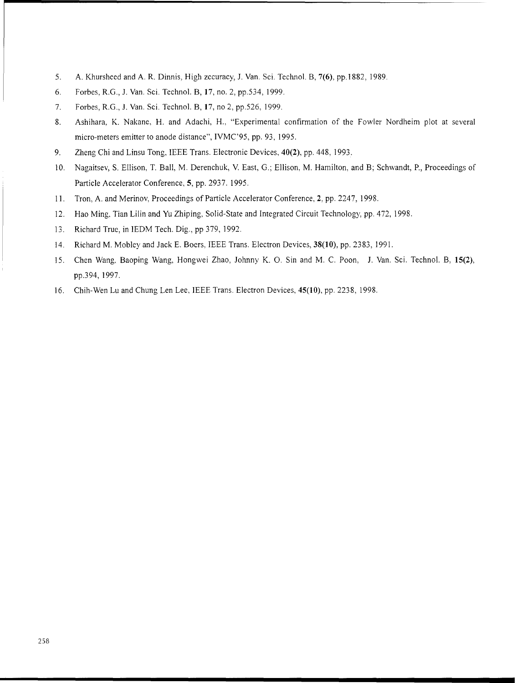- 5. A. Khursheed and A. R. Dinnis, High zccuracy, J. Van. Sci. Technol. B, 7(6), pp.!882, 1989.
- 6. Forbes, R.G., J. Van. Sci. Technol. B, 17, no. 2, pp.534, 1999.
- 7. Forbes, R.G., J. Van. Sci. Technol. B, 17, no 2, pp.526, 1999
- 8. Ashihara, K. Nakane, H. and Adachi, H., "Experimental confirmation of the Fowler Nordheim plot at several micro-meters emitter to anode distance", IVMC'95, pp. 93, 1995.
- 9. Zheng Chi and Linsu Tong, IEEE Trans. Electronic Devices, 40(2), pp. 448, 1993.
- 10. Nagaitsev, S. Ellison, T. Ball, M. Derenchuk, V. East, G.; Ellison, M. Hamilton, and B; Schwandt, P., Proceedings of Particle Accelerator Conference, 5, pp. 2937. 1995.
- 11. Tron, A. and Merinov, Proceedings of Particle Accelerator Conference, 2, pp. 2247, 1998.
- 12. Hao Ming, Tian Lilin and Yu Zhiping. Solid-State and Integrated Circuit Technology, pp. 472, 1998.
- 13. Richard True, in IEDM Tech. Dig., pp 379, 1992.
- 14. Richard M. Mobley and Jack E. Boers, IEEE Trans. Electron Devices, **38(10),** pp. 2383, **1991.**
- 15. Chen Wang, Baoping Wang, Hongwei Zhao, Johnny K. **0.** Sin and M. C. Poon, J. Van. Sci. Technol. B, 15(2), pp.394, 1997.
- 16. Chih-Wen Lu and Chung Len Lee, IEEE Trans. Electron Devices, 45(10), pp. 2238, 1998.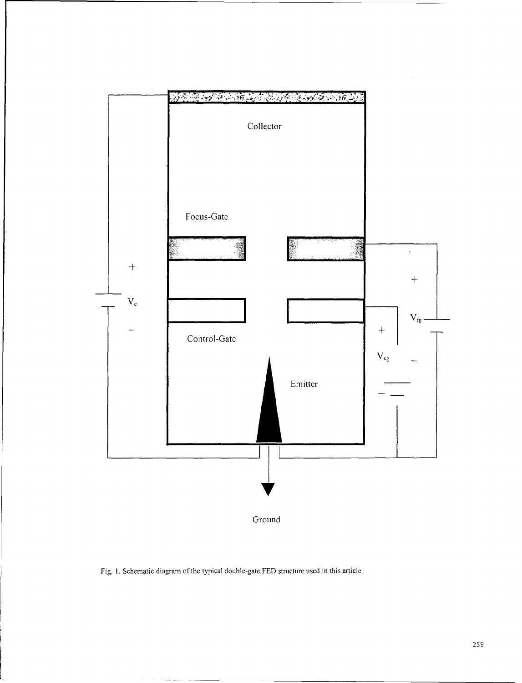

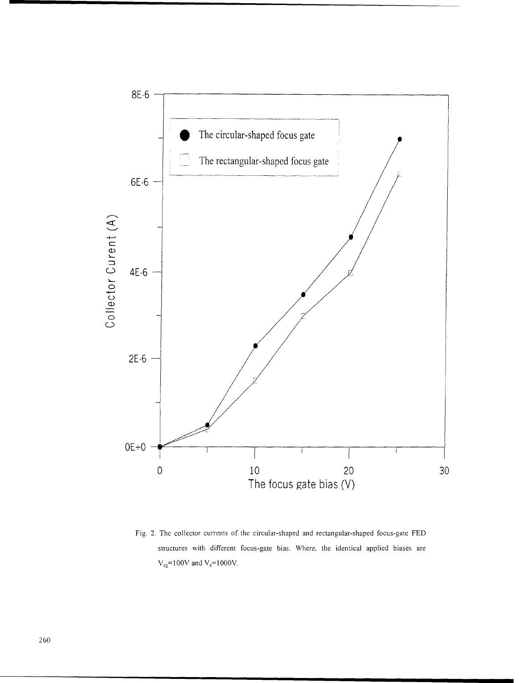

Fig. 2. The collector currents of the circular-shaped and rectangular-shaped focus-gate FED structures with different focus-gate bias. Where, the identical applied biases are  $V_{cg}$ =100V and  $V_c$ =1000V.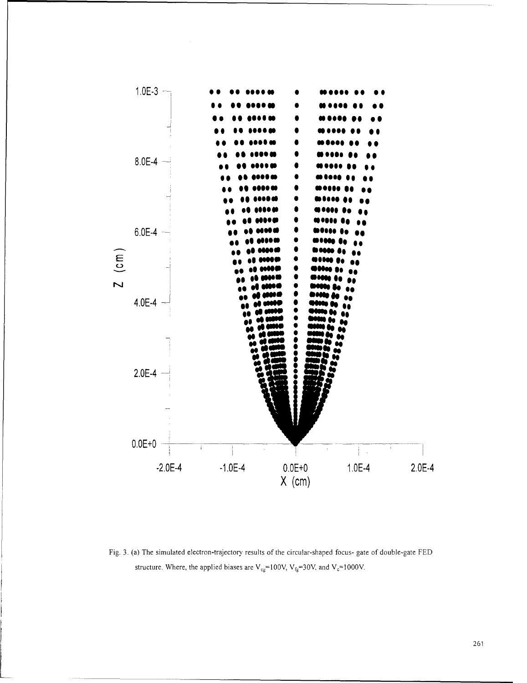

Fig. 3. (a) The simulated electron-trajectory results of the circular-shaped focus- gate of double-gate FED structure. Where, the applied biases are  $V_{cg}$ =100V,  $V_{fg}$ =30V, and  $V_c$ =1000V.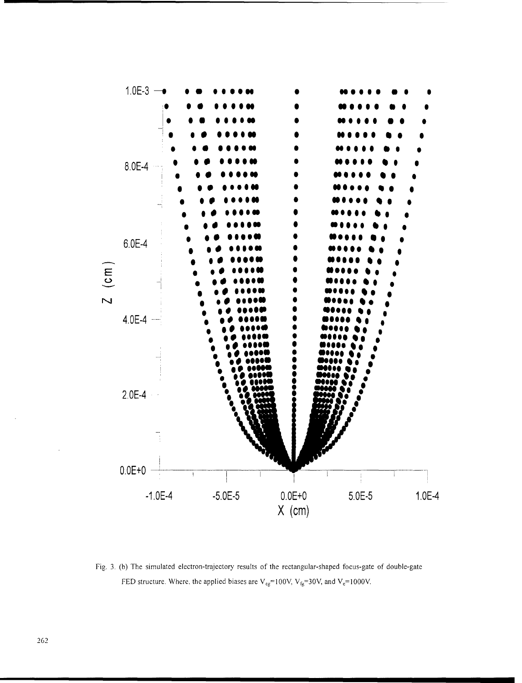

Fig. 3. (b) The simulated electron-trajectory results of the rectangular-shaped focus-gate of double-gate FED structure. Where, the applied biases are  $V_{cg}$ =100V,  $V_{fg}$ =30V, and  $V_c$ =1000V.